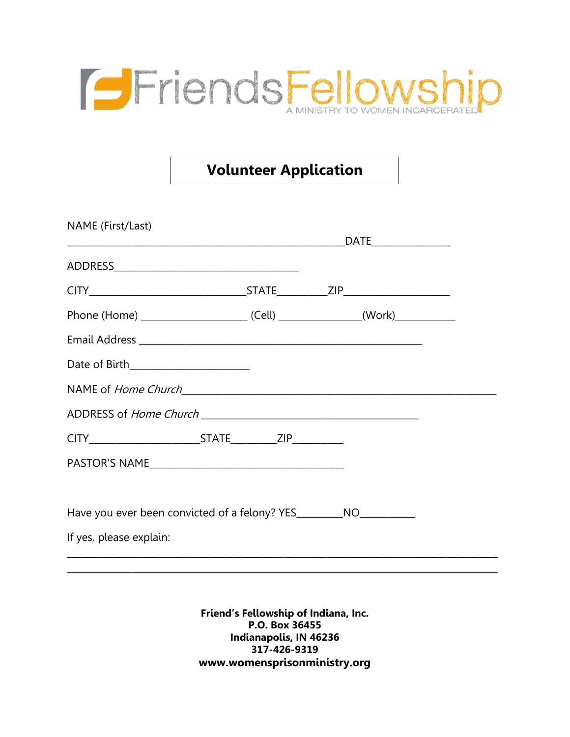

## **Volunteer Application**

| NAME (First/Last)                                                                |  |  |
|----------------------------------------------------------------------------------|--|--|
|                                                                                  |  |  |
|                                                                                  |  |  |
|                                                                                  |  |  |
|                                                                                  |  |  |
| Date of Birth_________________________                                           |  |  |
|                                                                                  |  |  |
|                                                                                  |  |  |
|                                                                                  |  |  |
|                                                                                  |  |  |
| Have you ever been convicted of a felony? YES__________NO_______________________ |  |  |
| If yes, please explain:                                                          |  |  |
|                                                                                  |  |  |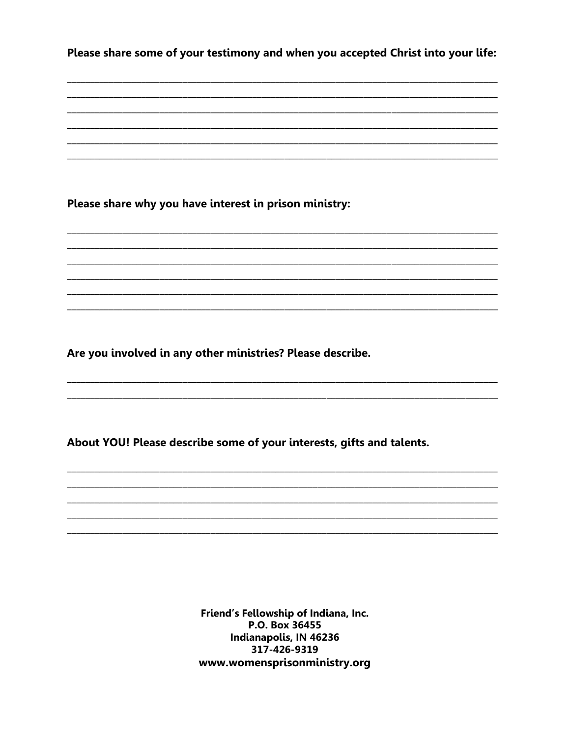Please share some of your testimony and when you accepted Christ into your life:

Please share why you have interest in prison ministry:

Are you involved in any other ministries? Please describe.

About YOU! Please describe some of your interests, gifts and talents.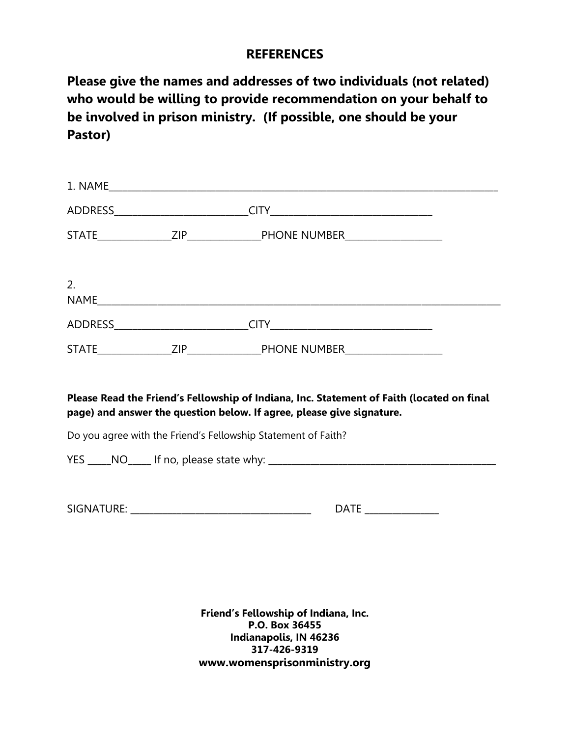## **REFERENCES**

**Please give the names and addresses of two individuals (not related) who would be willing to provide recommendation on your behalf to be involved in prison ministry. (If possible, one should be your Pastor)**

| 2. |                                                                                                                                                                    |  |
|----|--------------------------------------------------------------------------------------------------------------------------------------------------------------------|--|
|    |                                                                                                                                                                    |  |
|    |                                                                                                                                                                    |  |
|    | Please Read the Friend's Fellowship of Indiana, Inc. Statement of Faith (located on final<br>page) and answer the question below. If agree, please give signature. |  |
|    | Do you agree with the Friend's Fellowship Statement of Faith?                                                                                                      |  |
|    |                                                                                                                                                                    |  |
|    | DATE _______________                                                                                                                                               |  |
|    |                                                                                                                                                                    |  |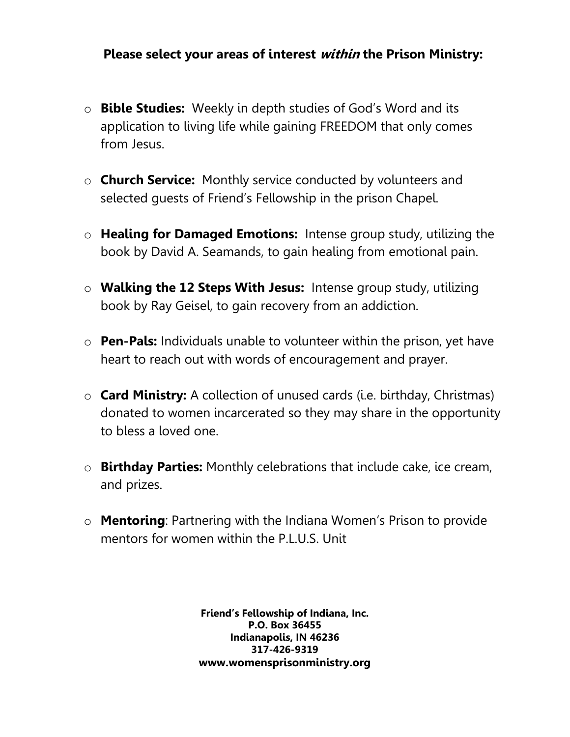## **Please select your areas of interest within the Prison Ministry:**

- o **Bible Studies:** Weekly in depth studies of God's Word and its application to living life while gaining FREEDOM that only comes from Jesus.
- o **Church Service:** Monthly service conducted by volunteers and selected guests of Friend's Fellowship in the prison Chapel.
- o **Healing for Damaged Emotions:** Intense group study, utilizing the book by David A. Seamands, to gain healing from emotional pain.
- o **Walking the 12 Steps With Jesus:** Intense group study, utilizing book by Ray Geisel, to gain recovery from an addiction.
- o **Pen-Pals:** Individuals unable to volunteer within the prison, yet have heart to reach out with words of encouragement and prayer.
- o **Card Ministry:** A collection of unused cards (i.e. birthday, Christmas) donated to women incarcerated so they may share in the opportunity to bless a loved one.
- o **Birthday Parties:** Monthly celebrations that include cake, ice cream, and prizes.
- o **Mentoring**: Partnering with the Indiana Women's Prison to provide mentors for women within the P.L.U.S. Unit